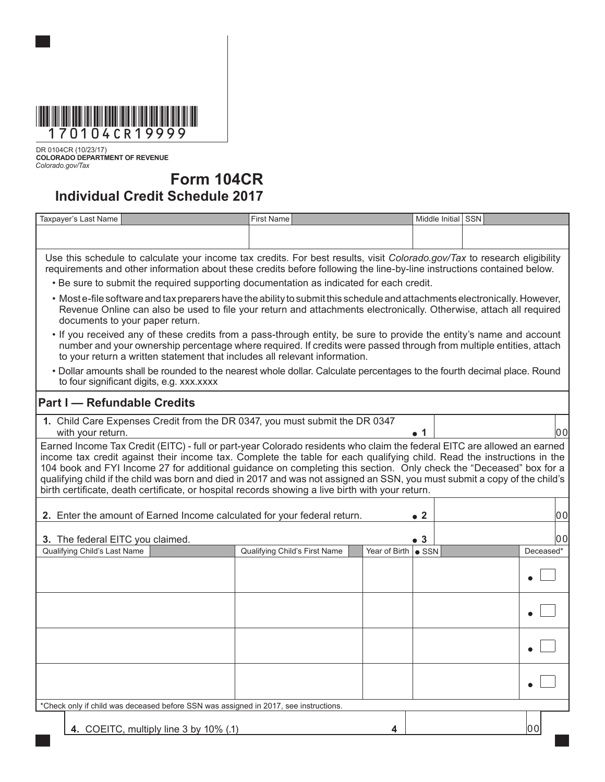

DR 0104CR (10/23/17) **COLORADO DEPARTMENT OF REVENUE** *Colorado.gov/Tax*

## **Form 104CR**

## **Individual Credit Schedule 2017**

| Taxpayer's Last Name                                                                                                                                                                                                                                                                                                                                                                                                                                                                                                                                                                                      |  | <b>First Name</b>                                                           |                             | Middle Initial SSN |  |           |  |  |  |
|-----------------------------------------------------------------------------------------------------------------------------------------------------------------------------------------------------------------------------------------------------------------------------------------------------------------------------------------------------------------------------------------------------------------------------------------------------------------------------------------------------------------------------------------------------------------------------------------------------------|--|-----------------------------------------------------------------------------|-----------------------------|--------------------|--|-----------|--|--|--|
|                                                                                                                                                                                                                                                                                                                                                                                                                                                                                                                                                                                                           |  |                                                                             |                             |                    |  |           |  |  |  |
| Use this schedule to calculate your income tax credits. For best results, visit Colorado.gov/Tax to research eligibility<br>requirements and other information about these credits before following the line-by-line instructions contained below.                                                                                                                                                                                                                                                                                                                                                        |  |                                                                             |                             |                    |  |           |  |  |  |
| . Be sure to submit the required supporting documentation as indicated for each credit.                                                                                                                                                                                                                                                                                                                                                                                                                                                                                                                   |  |                                                                             |                             |                    |  |           |  |  |  |
| • Most e-file software and tax preparers have the ability to submit this schedule and attachments electronically. However,<br>Revenue Online can also be used to file your return and attachments electronically. Otherwise, attach all required<br>documents to your paper return.                                                                                                                                                                                                                                                                                                                       |  |                                                                             |                             |                    |  |           |  |  |  |
| • If you received any of these credits from a pass-through entity, be sure to provide the entity's name and account<br>number and your ownership percentage where required. If credits were passed through from multiple entities, attach<br>to your return a written statement that includes all relevant information.                                                                                                                                                                                                                                                                                   |  |                                                                             |                             |                    |  |           |  |  |  |
| . Dollar amounts shall be rounded to the nearest whole dollar. Calculate percentages to the fourth decimal place. Round<br>to four significant digits, e.g. xxx.xxxx                                                                                                                                                                                                                                                                                                                                                                                                                                      |  |                                                                             |                             |                    |  |           |  |  |  |
| <b>Part I - Refundable Credits</b>                                                                                                                                                                                                                                                                                                                                                                                                                                                                                                                                                                        |  |                                                                             |                             |                    |  |           |  |  |  |
| with your return.                                                                                                                                                                                                                                                                                                                                                                                                                                                                                                                                                                                         |  | 1. Child Care Expenses Credit from the DR 0347, you must submit the DR 0347 |                             | $\bullet$ 1        |  | lool      |  |  |  |
| Earned Income Tax Credit (EITC) - full or part-year Colorado residents who claim the federal EITC are allowed an earned<br>income tax credit against their income tax. Complete the table for each qualifying child. Read the instructions in the<br>104 book and FYI Income 27 for additional guidance on completing this section. Only check the "Deceased" box for a<br>qualifying child if the child was born and died in 2017 and was not assigned an SSN, you must submit a copy of the child's<br>birth certificate, death certificate, or hospital records showing a live birth with your return. |  |                                                                             |                             |                    |  |           |  |  |  |
| 2. Enter the amount of Earned Income calculated for your federal return.<br>$\bullet$ 2                                                                                                                                                                                                                                                                                                                                                                                                                                                                                                                   |  |                                                                             |                             |                    |  | 00        |  |  |  |
| 3. The federal EITC you claimed.                                                                                                                                                                                                                                                                                                                                                                                                                                                                                                                                                                          |  |                                                                             |                             | •3                 |  | 00        |  |  |  |
| Qualifying Child's Last Name                                                                                                                                                                                                                                                                                                                                                                                                                                                                                                                                                                              |  | Qualifying Child's First Name                                               | Year of Birth $\bullet$ SSN |                    |  | Deceased* |  |  |  |
|                                                                                                                                                                                                                                                                                                                                                                                                                                                                                                                                                                                                           |  |                                                                             |                             |                    |  |           |  |  |  |
|                                                                                                                                                                                                                                                                                                                                                                                                                                                                                                                                                                                                           |  |                                                                             |                             |                    |  |           |  |  |  |
|                                                                                                                                                                                                                                                                                                                                                                                                                                                                                                                                                                                                           |  |                                                                             |                             |                    |  |           |  |  |  |
|                                                                                                                                                                                                                                                                                                                                                                                                                                                                                                                                                                                                           |  |                                                                             |                             |                    |  |           |  |  |  |

\*Check only if child was deceased before SSN was assigned in 2017, see instructions.

**4.** COEITC, multiply line 3 by 10% (.1) **4 4** 00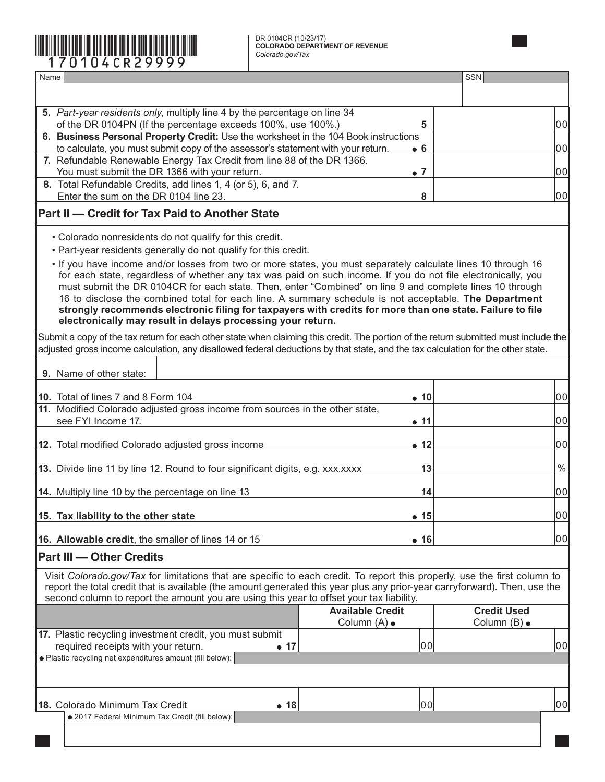## **COLORADO DEPARTMENT OF REVENUE** \*170104CR29999\* *Colorado.gov/Tax*

DR 0104CR (10/23/17)<br>COLORADO DEPARTMENT OF REVENUE<br>Colorado.gov/Tax

| Name                                                                                                                                                                                                                      |                         | SSN                |  |  |  |  |
|---------------------------------------------------------------------------------------------------------------------------------------------------------------------------------------------------------------------------|-------------------------|--------------------|--|--|--|--|
|                                                                                                                                                                                                                           |                         |                    |  |  |  |  |
| 5. Part-year residents only, multiply line 4 by the percentage on line 34                                                                                                                                                 |                         |                    |  |  |  |  |
| of the DR 0104PN (If the percentage exceeds 100%, use 100%.)                                                                                                                                                              | 5                       | 00                 |  |  |  |  |
| 6. Business Personal Property Credit: Use the worksheet in the 104 Book instructions<br>to calculate, you must submit copy of the assessor's statement with your return.                                                  | 00                      |                    |  |  |  |  |
| 7. Refundable Renewable Energy Tax Credit from line 88 of the DR 1366.                                                                                                                                                    |                         |                    |  |  |  |  |
| You must submit the DR 1366 with your return.                                                                                                                                                                             | $\bullet$ 7             | 00                 |  |  |  |  |
| 8. Total Refundable Credits, add lines 1, 4 (or 5), 6, and 7.<br>Enter the sum on the DR 0104 line 23.                                                                                                                    | 8                       | 00                 |  |  |  |  |
| <b>Part II – Credit for Tax Paid to Another State</b>                                                                                                                                                                     |                         |                    |  |  |  |  |
| • Colorado nonresidents do not qualify for this credit.                                                                                                                                                                   |                         |                    |  |  |  |  |
| . Part-year residents generally do not qualify for this credit.                                                                                                                                                           |                         |                    |  |  |  |  |
| . If you have income and/or losses from two or more states, you must separately calculate lines 10 through 16                                                                                                             |                         |                    |  |  |  |  |
| for each state, regardless of whether any tax was paid on such income. If you do not file electronically, you<br>must submit the DR 0104CR for each state. Then, enter "Combined" on line 9 and complete lines 10 through |                         |                    |  |  |  |  |
| 16 to disclose the combined total for each line. A summary schedule is not acceptable. The Department                                                                                                                     |                         |                    |  |  |  |  |
| strongly recommends electronic filing for taxpayers with credits for more than one state. Failure to file                                                                                                                 |                         |                    |  |  |  |  |
| electronically may result in delays processing your return.                                                                                                                                                               |                         |                    |  |  |  |  |
| Submit a copy of the tax return for each other state when claiming this credit. The portion of the return submitted must include the                                                                                      |                         |                    |  |  |  |  |
| adjusted gross income calculation, any disallowed federal deductions by that state, and the tax calculation for the other state.                                                                                          |                         |                    |  |  |  |  |
| 9. Name of other state:                                                                                                                                                                                                   |                         |                    |  |  |  |  |
|                                                                                                                                                                                                                           |                         |                    |  |  |  |  |
| 10. Total of lines 7 and 8 Form 104<br>11. Modified Colorado adjusted gross income from sources in the other state,                                                                                                       | $\bullet$ 10            | 00                 |  |  |  |  |
| see FYI Income 17.                                                                                                                                                                                                        | • 11                    | 00                 |  |  |  |  |
|                                                                                                                                                                                                                           |                         |                    |  |  |  |  |
| 12. Total modified Colorado adjusted gross income                                                                                                                                                                         | $\bullet$ 12            | 00                 |  |  |  |  |
| 13. Divide line 11 by line 12. Round to four significant digits, e.g. xxx.xxxx                                                                                                                                            | 13                      | $\%$               |  |  |  |  |
| 14. Multiply line 10 by the percentage on line 13                                                                                                                                                                         | 14                      | 00                 |  |  |  |  |
| 15. Tax liability to the other state                                                                                                                                                                                      | •15                     | 00                 |  |  |  |  |
|                                                                                                                                                                                                                           |                         |                    |  |  |  |  |
| 16. Allowable credit, the smaller of lines 14 or 15                                                                                                                                                                       | • 16                    | 00                 |  |  |  |  |
| <b>Part III — Other Credits</b>                                                                                                                                                                                           |                         |                    |  |  |  |  |
| Visit Colorado.gov/Tax for limitations that are specific to each credit. To report this properly, use the first column to                                                                                                 |                         |                    |  |  |  |  |
| report the total credit that is available (the amount generated this year plus any prior-year carryforward). Then, use the<br>second column to report the amount you are using this year to offset your tax liability.    |                         |                    |  |  |  |  |
|                                                                                                                                                                                                                           | <b>Available Credit</b> | <b>Credit Used</b> |  |  |  |  |
|                                                                                                                                                                                                                           | Column (A) •            | Column (B) •       |  |  |  |  |
| 17. Plastic recycling investment credit, you must submit<br>required receipts with your return.<br>$\bullet$ 17                                                                                                           | 00                      | 00                 |  |  |  |  |
| · Plastic recycling net expenditures amount (fill below):                                                                                                                                                                 |                         |                    |  |  |  |  |
|                                                                                                                                                                                                                           |                         |                    |  |  |  |  |
|                                                                                                                                                                                                                           |                         |                    |  |  |  |  |
| 18. Colorado Minimum Tax Credit<br>$\bullet$ 18                                                                                                                                                                           | 00                      | 00                 |  |  |  |  |
| · 2017 Federal Minimum Tax Credit (fill below):                                                                                                                                                                           |                         |                    |  |  |  |  |
|                                                                                                                                                                                                                           |                         |                    |  |  |  |  |
|                                                                                                                                                                                                                           |                         |                    |  |  |  |  |